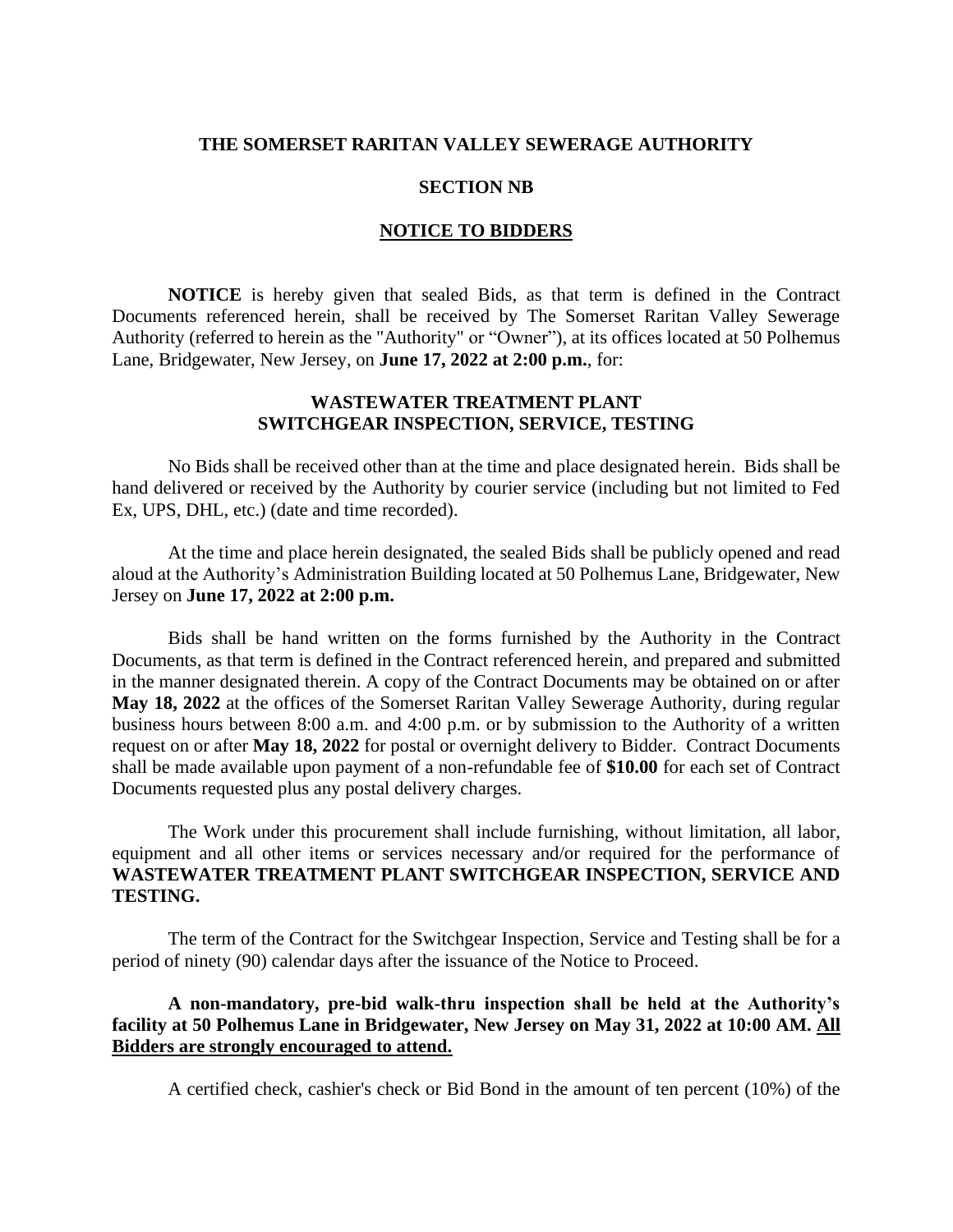#### **THE SOMERSET RARITAN VALLEY SEWERAGE AUTHORITY**

## **SECTION NB**

#### **NOTICE TO BIDDERS**

**NOTICE** is hereby given that sealed Bids, as that term is defined in the Contract Documents referenced herein, shall be received by The Somerset Raritan Valley Sewerage Authority (referred to herein as the "Authority" or "Owner"), at its offices located at 50 Polhemus Lane, Bridgewater, New Jersey, on **June 17, 2022 at 2:00 p.m.**, for:

# **WASTEWATER TREATMENT PLANT SWITCHGEAR INSPECTION, SERVICE, TESTING**

No Bids shall be received other than at the time and place designated herein. Bids shall be hand delivered or received by the Authority by courier service (including but not limited to Fed Ex, UPS, DHL, etc.) (date and time recorded).

At the time and place herein designated, the sealed Bids shall be publicly opened and read aloud at the Authority's Administration Building located at 50 Polhemus Lane, Bridgewater, New Jersey on **June 17, 2022 at 2:00 p.m.**

Bids shall be hand written on the forms furnished by the Authority in the Contract Documents, as that term is defined in the Contract referenced herein, and prepared and submitted in the manner designated therein. A copy of the Contract Documents may be obtained on or after **May 18, 2022** at the offices of the Somerset Raritan Valley Sewerage Authority, during regular business hours between 8:00 a.m. and 4:00 p.m. or by submission to the Authority of a written request on or after **May 18, 2022** for postal or overnight delivery to Bidder. Contract Documents shall be made available upon payment of a non-refundable fee of **\$10.00** for each set of Contract Documents requested plus any postal delivery charges.

The Work under this procurement shall include furnishing, without limitation, all labor, equipment and all other items or services necessary and/or required for the performance of **WASTEWATER TREATMENT PLANT SWITCHGEAR INSPECTION, SERVICE AND TESTING.** 

The term of the Contract for the Switchgear Inspection, Service and Testing shall be for a period of ninety (90) calendar days after the issuance of the Notice to Proceed.

# **A non-mandatory, pre-bid walk-thru inspection shall be held at the Authority's facility at 50 Polhemus Lane in Bridgewater, New Jersey on May 31, 2022 at 10:00 AM. All Bidders are strongly encouraged to attend.**

A certified check, cashier's check or Bid Bond in the amount of ten percent (10%) of the